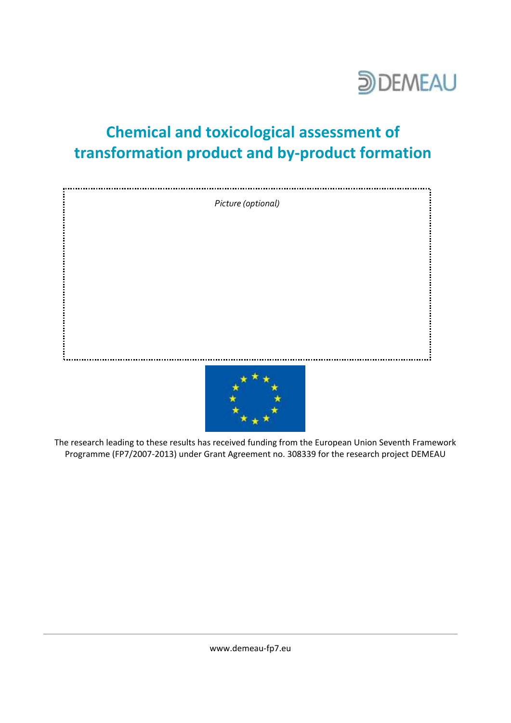

# **Chemical and toxicological assessment of transformation product and by-product formation**

| Picture (optional) |
|--------------------|
|                    |
|                    |
|                    |
|                    |
|                    |
|                    |
|                    |
|                    |
|                    |
|                    |
|                    |
|                    |
|                    |
|                    |
|                    |
|                    |
|                    |
|                    |
|                    |
|                    |



The research leading to these results has received funding from the European Union Seventh Framework Programme (FP7/2007-2013) under Grant Agreement no. 308339 for the research project DEMEAU

www.demeau-fp7.eu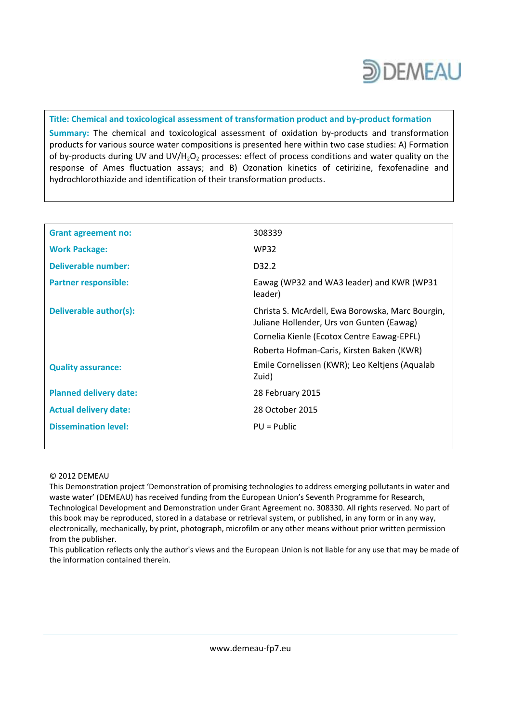

**Title: Chemical and toxicological assessment of transformation product and by-product formation Summary:** The chemical and toxicological assessment of oxidation by-products and transformation products for various source water compositions is presented here within two case studies: A) Formation of by-products during UV and UV/H<sub>2</sub>O<sub>2</sub> processes: effect of process conditions and water quality on the response of Ames fluctuation assays; and B) Ozonation kinetics of cetirizine, fexofenadine and hydrochlorothiazide and identification of their transformation products.

| 308339                                                                                        |
|-----------------------------------------------------------------------------------------------|
| WP32                                                                                          |
| D32.2                                                                                         |
| Eawag (WP32 and WA3 leader) and KWR (WP31<br>leader)                                          |
| Christa S. McArdell, Ewa Borowska, Marc Bourgin,<br>Juliane Hollender, Urs von Gunten (Eawag) |
| Cornelia Kienle (Ecotox Centre Eawag-EPFL)                                                    |
| Roberta Hofman-Caris, Kirsten Baken (KWR)                                                     |
| Emile Cornelissen (KWR); Leo Keltjens (Aqualab<br>Zuid)                                       |
| 28 February 2015                                                                              |
| 28 October 2015                                                                               |
| $PU = Public$                                                                                 |
|                                                                                               |

#### © 2012 DEMEAU

This Demonstration project 'Demonstration of promising technologies to address emerging pollutants in water and waste water' (DEMEAU) has received funding from the European Union's Seventh Programme for Research, Technological Development and Demonstration under Grant Agreement no. 308330. All rights reserved. No part of this book may be reproduced, stored in a database or retrieval system, or published, in any form or in any way, electronically, mechanically, by print, photograph, microfilm or any other means without prior written permission from the publisher.

This publication reflects only the author's views and the European Union is not liable for any use that may be made of the information contained therein.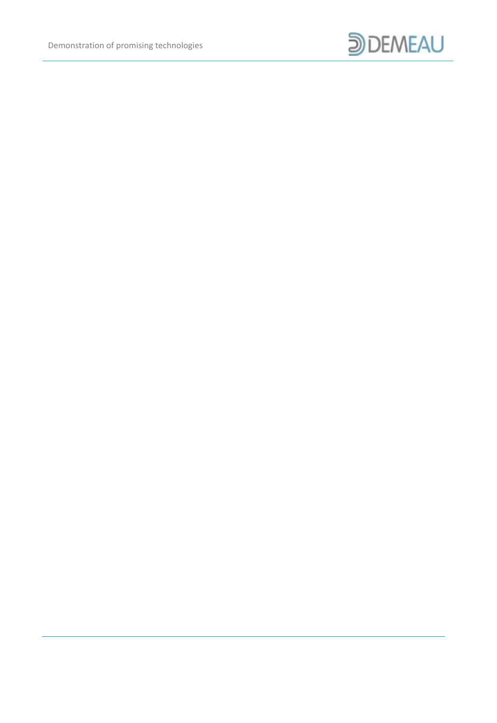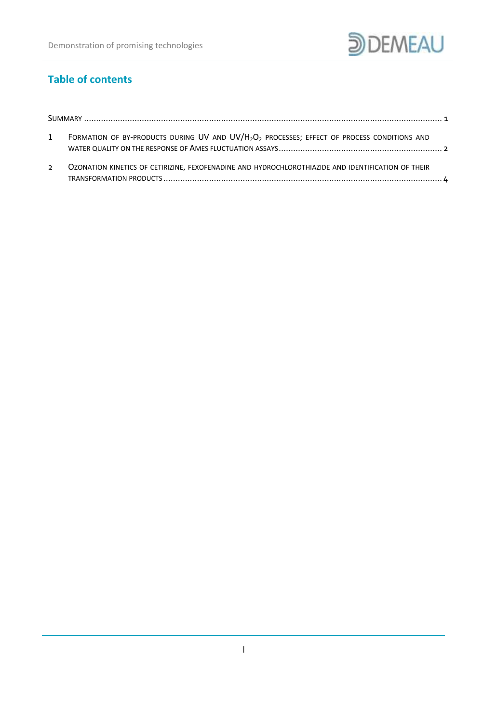

## **Table of contents**

| 1 FORMATION OF BY-PRODUCTS DURING UV AND UV/H <sub>2</sub> O <sub>2</sub> PROCESSES; EFFECT OF PROCESS CONDITIONS AND |  |
|-----------------------------------------------------------------------------------------------------------------------|--|
| OZONATION KINETICS OF CETIRIZINE, FEXOFENADINE AND HYDROCHLOROTHIAZIDE AND IDENTIFICATION OF THEIR                    |  |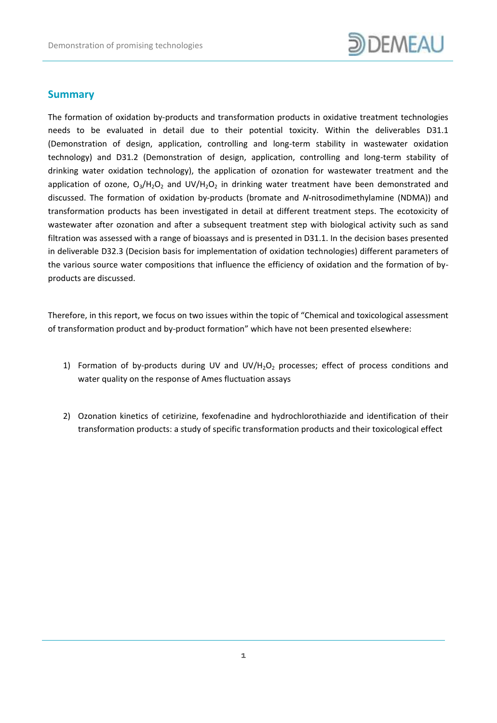

#### <span id="page-4-0"></span>**Summary**

The formation of oxidation by-products and transformation products in oxidative treatment technologies needs to be evaluated in detail due to their potential toxicity. Within the deliverables D31.1 (Demonstration of design, application, controlling and long-term stability in wastewater oxidation technology) and D31.2 (Demonstration of design, application, controlling and long-term stability of drinking water oxidation technology), the application of ozonation for wastewater treatment and the application of ozone,  $O_3/H_2O_2$  and UV/H<sub>2</sub>O<sub>2</sub> in drinking water treatment have been demonstrated and discussed. The formation of oxidation by-products (bromate and *N*-nitrosodimethylamine (NDMA)) and transformation products has been investigated in detail at different treatment steps. The ecotoxicity of wastewater after ozonation and after a subsequent treatment step with biological activity such as sand filtration was assessed with a range of bioassays and is presented in D31.1. In the decision bases presented in deliverable D32.3 (Decision basis for implementation of oxidation technologies) different parameters of the various source water compositions that influence the efficiency of oxidation and the formation of byproducts are discussed.

Therefore, in this report, we focus on two issues within the topic of "Chemical and toxicological assessment of transformation product and by-product formation" which have not been presented elsewhere:

- 1) Formation of by-products during UV and  $UV/H<sub>2</sub>O<sub>2</sub>$  processes; effect of process conditions and water quality on the response of Ames fluctuation assays
- 2) Ozonation kinetics of cetirizine, fexofenadine and hydrochlorothiazide and identification of their transformation products: a study of specific transformation products and their toxicological effect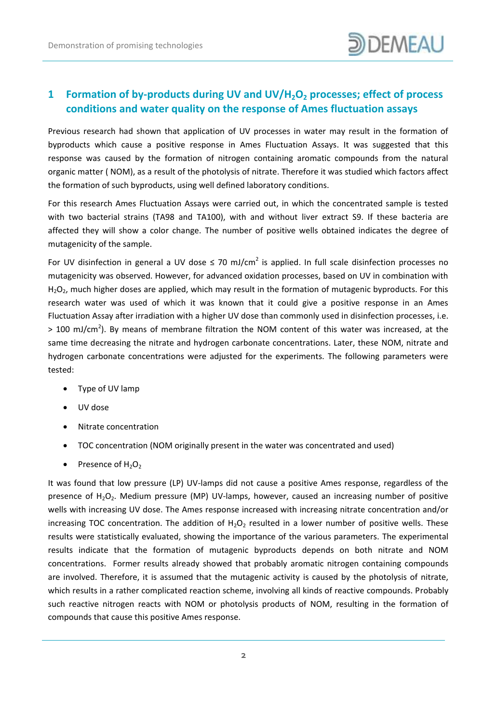

## <span id="page-5-0"></span>**1 Formation of by-products during UV and UV/H2O<sup>2</sup> processes; effect of process conditions and water quality on the response of Ames fluctuation assays**

Previous research had shown that application of UV processes in water may result in the formation of byproducts which cause a positive response in Ames Fluctuation Assays. It was suggested that this response was caused by the formation of nitrogen containing aromatic compounds from the natural organic matter ( NOM), as a result of the photolysis of nitrate. Therefore it was studied which factors affect the formation of such byproducts, using well defined laboratory conditions.

For this research Ames Fluctuation Assays were carried out, in which the concentrated sample is tested with two bacterial strains (TA98 and TA100), with and without liver extract S9. If these bacteria are affected they will show a color change. The number of positive wells obtained indicates the degree of mutagenicity of the sample.

For UV disinfection in general a UV dose  $\leq 70$  mJ/cm<sup>2</sup> is applied. In full scale disinfection processes no mutagenicity was observed. However, for advanced oxidation processes, based on UV in combination with  $H_2O_2$ , much higher doses are applied, which may result in the formation of mutagenic byproducts. For this research water was used of which it was known that it could give a positive response in an Ames Fluctuation Assay after irradiation with a higher UV dose than commonly used in disinfection processes, i.e.  $>$  100 mJ/cm<sup>2</sup>). By means of membrane filtration the NOM content of this water was increased, at the same time decreasing the nitrate and hydrogen carbonate concentrations. Later, these NOM, nitrate and hydrogen carbonate concentrations were adjusted for the experiments. The following parameters were tested:

- Type of UV lamp
- UV dose
- Nitrate concentration
- TOC concentration (NOM originally present in the water was concentrated and used)
- Presence of  $H_2O_2$

It was found that low pressure (LP) UV-lamps did not cause a positive Ames response, regardless of the presence of  $H_2O_2$ . Medium pressure (MP) UV-lamps, however, caused an increasing number of positive wells with increasing UV dose. The Ames response increased with increasing nitrate concentration and/or increasing TOC concentration. The addition of  $H_2O_2$  resulted in a lower number of positive wells. These results were statistically evaluated, showing the importance of the various parameters. The experimental results indicate that the formation of mutagenic byproducts depends on both nitrate and NOM concentrations. Former results already showed that probably aromatic nitrogen containing compounds are involved. Therefore, it is assumed that the mutagenic activity is caused by the photolysis of nitrate, which results in a rather complicated reaction scheme, involving all kinds of reactive compounds. Probably such reactive nitrogen reacts with NOM or photolysis products of NOM, resulting in the formation of compounds that cause this positive Ames response.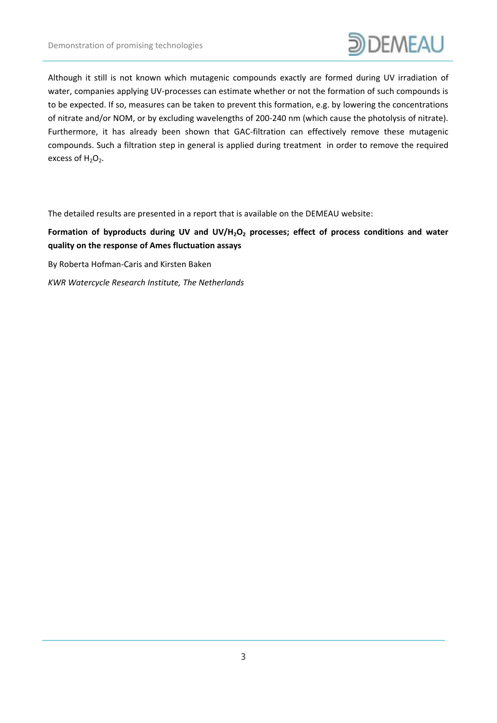

Although it still is not known which mutagenic compounds exactly are formed during UV irradiation of water, companies applying UV-processes can estimate whether or not the formation of such compounds is to be expected. If so, measures can be taken to prevent this formation, e.g. by lowering the concentrations of nitrate and/or NOM, or by excluding wavelengths of 200-240 nm (which cause the photolysis of nitrate). Furthermore, it has already been shown that GAC-filtration can effectively remove these mutagenic compounds. Such a filtration step in general is applied during treatment in order to remove the required excess of  $H_2O_2$ .

The detailed results are presented in a report that is available on the DEMEAU website:

Formation of byproducts during UV and UV/H<sub>2</sub>O<sub>2</sub> processes; effect of process conditions and water **quality on the response of Ames fluctuation assays**

By Roberta Hofman-Caris and Kirsten Baken

*KWR Watercycle Research Institute, The Netherlands*